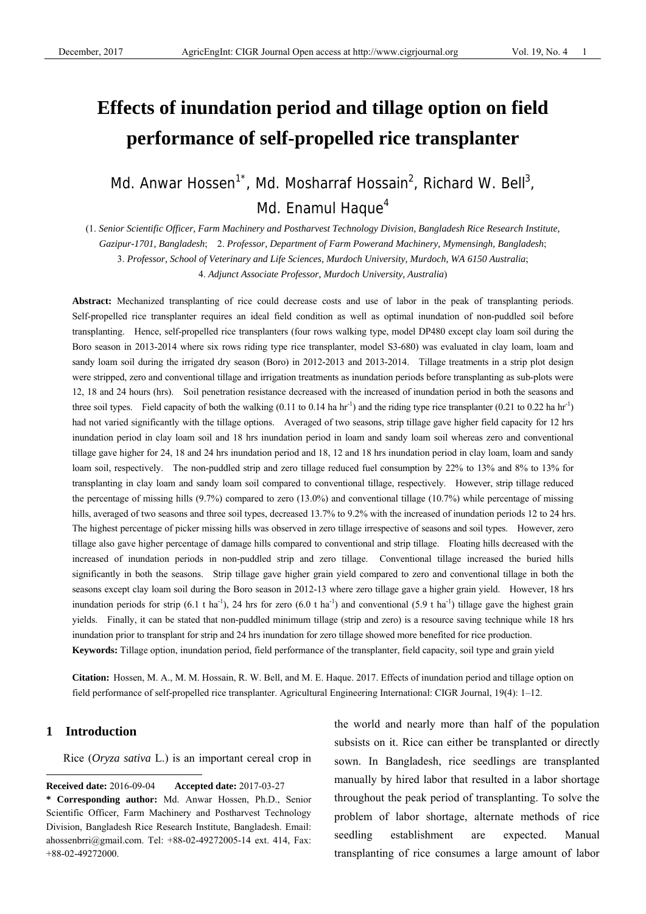# **Effects of inundation period and tillage option on field performance of self-propelled rice transplanter**

Md. Anwar Hossen<sup>1\*</sup>, Md. Mosharraf Hossain<sup>2</sup>, Richard W. Bell<sup>3</sup>, Md. Enamul Haque $4$ 

(1. *Senior Scientific Officer, Farm Machinery and Postharvest Technology Division, Bangladesh Rice Research Institute,* 

*Gazipur-1701, Bangladesh*; 2. *Professor, Department of Farm Powerand Machinery, Mymensingh, Bangladesh*;

3. *Professor, School of Veterinary and Life Sciences, Murdoch University, Murdoch, WA 6150 Australia*;

4. *Adjunct Associate Professor, Murdoch University, Australia*)

**Abstract:** Mechanized transplanting of rice could decrease costs and use of labor in the peak of transplanting periods. Self-propelled rice transplanter requires an ideal field condition as well as optimal inundation of non-puddled soil before transplanting. Hence, self-propelled rice transplanters (four rows walking type, model DP480 except clay loam soil during the Boro season in 2013-2014 where six rows riding type rice transplanter, model S3-680) was evaluated in clay loam, loam and sandy loam soil during the irrigated dry season (Boro) in 2012-2013 and 2013-2014. Tillage treatments in a strip plot design were stripped, zero and conventional tillage and irrigation treatments as inundation periods before transplanting as sub-plots were 12, 18 and 24 hours (hrs). Soil penetration resistance decreased with the increased of inundation period in both the seasons and three soil types. Field capacity of both the walking (0.11 to 0.14 ha hr<sup>-1</sup>) and the riding type rice transplanter (0.21 to 0.22 ha hr<sup>-1</sup>) had not varied significantly with the tillage options. Averaged of two seasons, strip tillage gave higher field capacity for 12 hrs inundation period in clay loam soil and 18 hrs inundation period in loam and sandy loam soil whereas zero and conventional tillage gave higher for 24, 18 and 24 hrs inundation period and 18, 12 and 18 hrs inundation period in clay loam, loam and sandy loam soil, respectively. The non-puddled strip and zero tillage reduced fuel consumption by 22% to 13% and 8% to 13% for transplanting in clay loam and sandy loam soil compared to conventional tillage, respectively. However, strip tillage reduced the percentage of missing hills (9.7%) compared to zero (13.0%) and conventional tillage (10.7%) while percentage of missing hills, averaged of two seasons and three soil types, decreased 13.7% to 9.2% with the increased of inundation periods 12 to 24 hrs. The highest percentage of picker missing hills was observed in zero tillage irrespective of seasons and soil types. However, zero tillage also gave higher percentage of damage hills compared to conventional and strip tillage. Floating hills decreased with the increased of inundation periods in non-puddled strip and zero tillage. Conventional tillage increased the buried hills significantly in both the seasons. Strip tillage gave higher grain yield compared to zero and conventional tillage in both the seasons except clay loam soil during the Boro season in 2012-13 where zero tillage gave a higher grain yield. However, 18 hrs inundation periods for strip  $(6.1 \text{ t} \text{ ha}^{-1})$ , 24 hrs for zero  $(6.0 \text{ t} \text{ ha}^{-1})$  and conventional  $(5.9 \text{ t} \text{ ha}^{-1})$  tillage gave the highest grain yields. Finally, it can be stated that non-puddled minimum tillage (strip and zero) is a resource saving technique while 18 hrs inundation prior to transplant for strip and 24 hrs inundation for zero tillage showed more benefited for rice production. **Keywords:** Tillage option, inundation period, field performance of the transplanter, field capacity, soil type and grain yield

**Citation:** Hossen, M. A., M. M. Hossain, R. W. Bell, and M. E. Haque. 2017. Effects of inundation period and tillage option on field performance of self-propelled rice transplanter. Agricultural Engineering International: CIGR Journal, 19(4): 1–12.

# **1 Introduction**

 $\overline{a}$ 

Rice (*Oryza sativa* L.) is an important cereal crop in

the world and nearly more than half of the population subsists on it. Rice can either be transplanted or directly sown. In Bangladesh, rice seedlings are transplanted manually by hired labor that resulted in a labor shortage throughout the peak period of transplanting. To solve the problem of labor shortage, alternate methods of rice seedling establishment are expected. Manual transplanting of rice consumes a large amount of labor

**Received date:** 2016-09-04 **Accepted date:** 2017-03-27

**<sup>\*</sup> Corresponding author:** Md. Anwar Hossen, Ph.D., Senior Scientific Officer, Farm Machinery and Postharvest Technology Division, Bangladesh Rice Research Institute, Bangladesh. Email: ahossenbrri@gmail.com. Tel: +88-02-49272005-14 ext. 414, Fax: +88-02-49272000.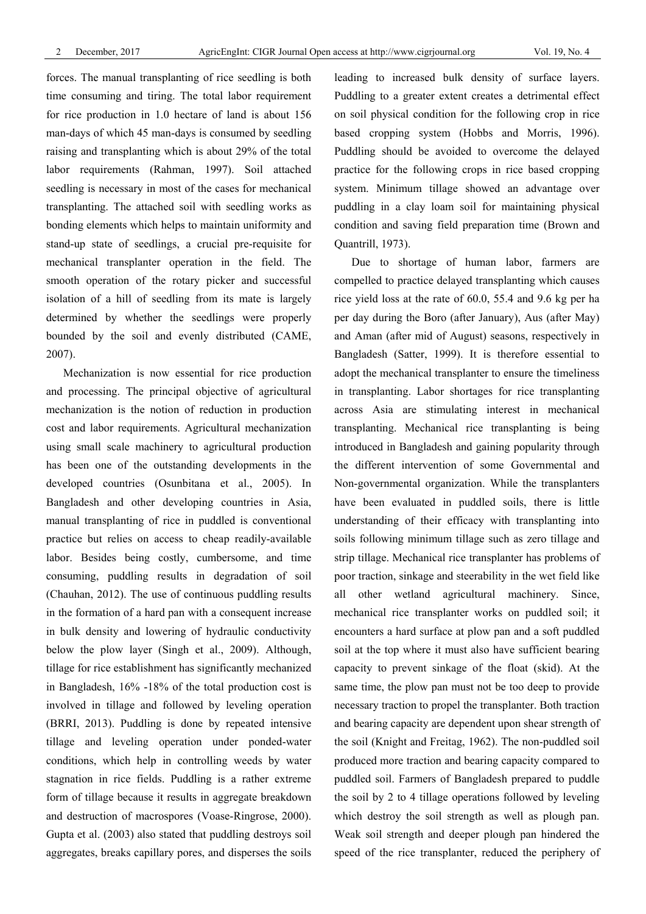forces. The manual transplanting of rice seedling is both time consuming and tiring. The total labor requirement for rice production in 1.0 hectare of land is about 156 man-days of which 45 man-days is consumed by seedling raising and transplanting which is about 29% of the total labor requirements (Rahman, 1997). Soil attached seedling is necessary in most of the cases for mechanical transplanting. The attached soil with seedling works as bonding elements which helps to maintain uniformity and stand-up state of seedlings, a crucial pre-requisite for mechanical transplanter operation in the field. The smooth operation of the rotary picker and successful isolation of a hill of seedling from its mate is largely determined by whether the seedlings were properly bounded by the soil and evenly distributed (CAME, 2007).

Mechanization is now essential for rice production and processing. The principal objective of agricultural mechanization is the notion of reduction in production cost and labor requirements. Agricultural mechanization using small scale machinery to agricultural production has been one of the outstanding developments in the developed countries (Osunbitana et al., 2005). In Bangladesh and other developing countries in Asia, manual transplanting of rice in puddled is conventional practice but relies on access to cheap readily-available labor. Besides being costly, cumbersome, and time consuming, puddling results in degradation of soil (Chauhan, 2012). The use of continuous puddling results in the formation of a hard pan with a consequent increase in bulk density and lowering of hydraulic conductivity below the plow layer (Singh et al., 2009). Although, tillage for rice establishment has significantly mechanized in Bangladesh, 16% -18% of the total production cost is involved in tillage and followed by leveling operation (BRRI, 2013). Puddling is done by repeated intensive tillage and leveling operation under ponded-water conditions, which help in controlling weeds by water stagnation in rice fields. Puddling is a rather extreme form of tillage because it results in aggregate breakdown and destruction of macrospores (Voase-Ringrose, 2000). Gupta et al. (2003) also stated that puddling destroys soil aggregates, breaks capillary pores, and disperses the soils

leading to increased bulk density of surface layers. Puddling to a greater extent creates a detrimental effect on soil physical condition for the following crop in rice based cropping system (Hobbs and Morris, 1996). Puddling should be avoided to overcome the delayed practice for the following crops in rice based cropping system. Minimum tillage showed an advantage over puddling in a clay loam soil for maintaining physical condition and saving field preparation time (Brown and Quantrill, 1973).

Due to shortage of human labor, farmers are compelled to practice delayed transplanting which causes rice yield loss at the rate of 60.0, 55.4 and 9.6 kg per ha per day during the Boro (after January), Aus (after May) and Aman (after mid of August) seasons, respectively in Bangladesh (Satter, 1999). It is therefore essential to adopt the mechanical transplanter to ensure the timeliness in transplanting. Labor shortages for rice transplanting across Asia are stimulating interest in mechanical transplanting. Mechanical rice transplanting is being introduced in Bangladesh and gaining popularity through the different intervention of some Governmental and Non-governmental organization. While the transplanters have been evaluated in puddled soils, there is little understanding of their efficacy with transplanting into soils following minimum tillage such as zero tillage and strip tillage. Mechanical rice transplanter has problems of poor traction, sinkage and steerability in the wet field like all other wetland agricultural machinery. Since, mechanical rice transplanter works on puddled soil; it encounters a hard surface at plow pan and a soft puddled soil at the top where it must also have sufficient bearing capacity to prevent sinkage of the float (skid). At the same time, the plow pan must not be too deep to provide necessary traction to propel the transplanter. Both traction and bearing capacity are dependent upon shear strength of the soil (Knight and Freitag, 1962). The non-puddled soil produced more traction and bearing capacity compared to puddled soil. Farmers of Bangladesh prepared to puddle the soil by 2 to 4 tillage operations followed by leveling which destroy the soil strength as well as plough pan. Weak soil strength and deeper plough pan hindered the speed of the rice transplanter, reduced the periphery of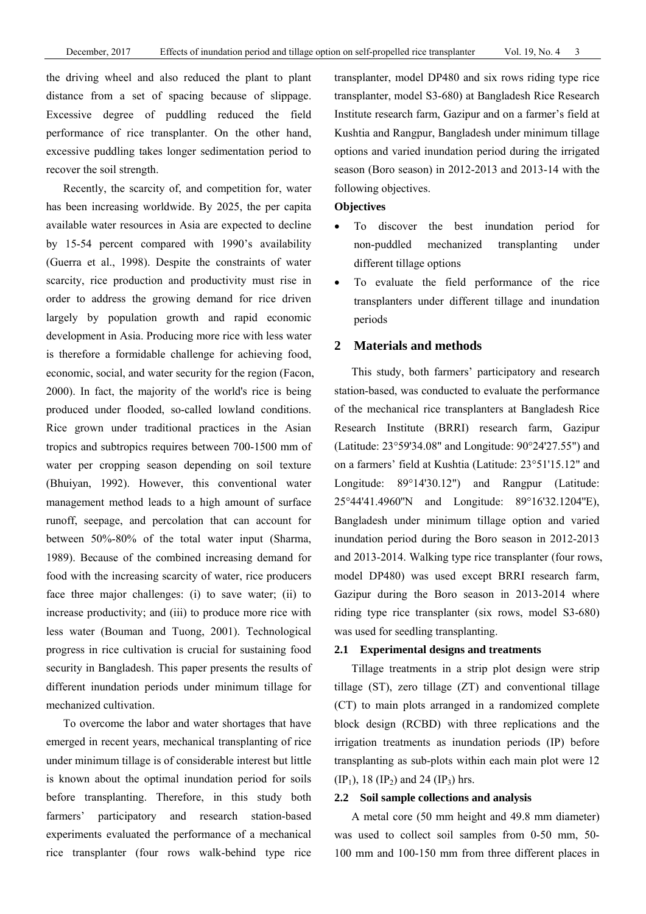the driving wheel and also reduced the plant to plant distance from a set of spacing because of slippage. Excessive degree of puddling reduced the field performance of rice transplanter. On the other hand, excessive puddling takes longer sedimentation period to recover the soil strength.

Recently, the scarcity of, and competition for, water has been increasing worldwide. By 2025, the per capita available water resources in Asia are expected to decline by 15-54 percent compared with 1990's availability (Guerra et al., 1998). Despite the constraints of water scarcity, rice production and productivity must rise in order to address the growing demand for rice driven largely by population growth and rapid economic development in Asia. Producing more rice with less water is therefore a formidable challenge for achieving food, economic, social, and water security for the region (Facon, 2000). In fact, the majority of the world's rice is being produced under flooded, so-called lowland conditions. Rice grown under traditional practices in the Asian tropics and subtropics requires between 700-1500 mm of water per cropping season depending on soil texture (Bhuiyan, 1992). However, this conventional water management method leads to a high amount of surface runoff, seepage, and percolation that can account for between 50%-80% of the total water input (Sharma, 1989). Because of the combined increasing demand for food with the increasing scarcity of water, rice producers face three major challenges: (i) to save water; (ii) to increase productivity; and (iii) to produce more rice with less water (Bouman and Tuong, 2001). Technological progress in rice cultivation is crucial for sustaining food security in Bangladesh. This paper presents the results of different inundation periods under minimum tillage for mechanized cultivation.

To overcome the labor and water shortages that have emerged in recent years, mechanical transplanting of rice under minimum tillage is of considerable interest but little is known about the optimal inundation period for soils before transplanting. Therefore, in this study both farmers' participatory and research station-based experiments evaluated the performance of a mechanical rice transplanter (four rows walk-behind type rice

transplanter, model DP480 and six rows riding type rice transplanter, model S3-680) at Bangladesh Rice Research Institute research farm, Gazipur and on a farmer's field at Kushtia and Rangpur, Bangladesh under minimum tillage options and varied inundation period during the irrigated season (Boro season) in 2012-2013 and 2013-14 with the following objectives.

# **Objectives**

- To discover the best inundation period for non-puddled mechanized transplanting under different tillage options
- To evaluate the field performance of the rice transplanters under different tillage and inundation periods

# **2 Materials and methods**

This study, both farmers' participatory and research station-based, was conducted to evaluate the performance of the mechanical rice transplanters at Bangladesh Rice Research Institute (BRRI) research farm, Gazipur (Latitude: 23°59'34.08" and Longitude: 90°24'27.55") and on a farmers' field at Kushtia (Latitude: 23°51'15.12" and Longitude: 89°14'30.12") and Rangpur (Latitude: 25°44'41.4960''N and Longitude: 89°16'32.1204''E), Bangladesh under minimum tillage option and varied inundation period during the Boro season in 2012-2013 and 2013-2014. Walking type rice transplanter (four rows, model DP480) was used except BRRI research farm, Gazipur during the Boro season in 2013-2014 where riding type rice transplanter (six rows, model S3-680) was used for seedling transplanting.

## **2.1 Experimental designs and treatments**

Tillage treatments in a strip plot design were strip tillage (ST), zero tillage (ZT) and conventional tillage (CT) to main plots arranged in a randomized complete block design (RCBD) with three replications and the irrigation treatments as inundation periods (IP) before transplanting as sub-plots within each main plot were 12 (IP<sub>1</sub>), 18 (IP<sub>2</sub>) and 24 (IP<sub>3</sub>) hrs.

#### **2.2 Soil sample collections and analysis**

A metal core (50 mm height and 49.8 mm diameter) was used to collect soil samples from 0-50 mm, 50- 100 mm and 100-150 mm from three different places in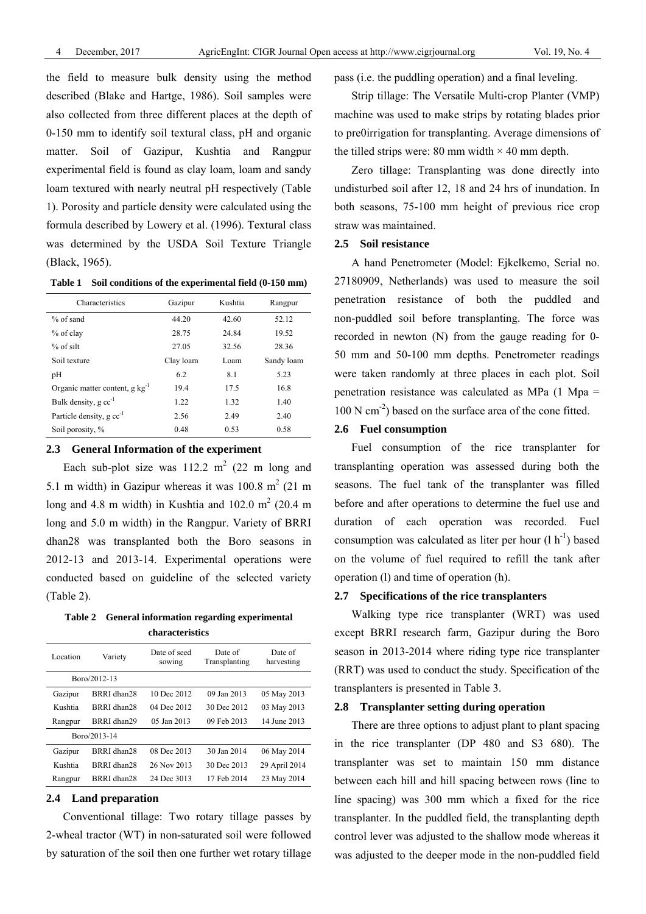the field to measure bulk density using the method described (Blake and Hartge, 1986). Soil samples were also collected from three different places at the depth of 0-150 mm to identify soil textural class, pH and organic matter. Soil of Gazipur, Kushtia and Rangpur experimental field is found as clay loam, loam and sandy loam textured with nearly neutral pH respectively (Table 1). Porosity and particle density were calculated using the formula described by Lowery et al. (1996). Textural class was determined by the USDA Soil Texture Triangle (Black, 1965).

**Table 1 Soil conditions of the experimental field (0-150 mm)** 

| Characteristics                             | Gazipur   | Kushtia | Rangpur    |
|---------------------------------------------|-----------|---------|------------|
| $%$ of sand                                 | 44.20     | 42.60   | 52.12      |
| % of clay                                   | 28.75     | 24.84   | 19.52      |
| $%$ of silt                                 | 27.05     | 32.56   | 28.36      |
| Soil texture                                | Clay loam | Loam    | Sandy loam |
| pH                                          | 6.2       | 8.1     | 5.23       |
| Organic matter content, $g \text{ kg}^{-1}$ | 19.4      | 17.5    | 16.8       |
| Bulk density, $g \text{ cc}^{-1}$           | 1.22      | 1.32    | 1.40       |
| Particle density, $g \text{ cc}^{-1}$       | 2.56      | 2.49    | 2.40       |
| Soil porosity, %                            | 0.48      | 0.53    | 0.58       |

#### **2.3 General Information of the experiment**

Each sub-plot size was  $112.2 \text{ m}^2$  (22 m long and 5.1 m width) in Gazipur whereas it was  $100.8 \text{ m}^2$  (21 m long and 4.8 m width) in Kushtia and  $102.0 \text{ m}^2$  (20.4 m long and 5.0 m width) in the Rangpur. Variety of BRRI dhan28 was transplanted both the Boro seasons in 2012-13 and 2013-14. Experimental operations were conducted based on guideline of the selected variety (Table 2).

**Table 2 General information regarding experimental characteristics** 

| Location     | Variety      | Date of seed<br>sowing | Date of<br>Transplanting | Date of<br>harvesting |
|--------------|--------------|------------------------|--------------------------|-----------------------|
| Boro/2012-13 |              |                        |                          |                       |
| Gazipur      | BRRI dhan28  | 10 Dec 2012            | 09 Jan 2013              | 05 May 2013           |
| Kushtia      | BRRI dhan28  | 04 Dec 2012            | 30 Dec 2012              | 03 May 2013           |
| Rangpur      | BRRI dhan29  | 05 Jan 2013            | 09 Feb 2013              | 14 June 2013          |
|              | Boro/2013-14 |                        |                          |                       |
| Gazipur      | BRRI dhan28  | 08 Dec 2013            | 30 Jan 2014              | 06 May 2014           |
| Kushtia      | BRRI dhan28  | 26 Nov 2013            | 30 Dec 2013              | 29 April 2014         |
| Rangpur      | BRRI dhan28  | 24 Dec 3013            | 17 Feb 2014              | 23 May 2014           |

# **2.4 Land preparation**

Conventional tillage: Two rotary tillage passes by 2-wheal tractor (WT) in non-saturated soil were followed by saturation of the soil then one further wet rotary tillage pass (i.e. the puddling operation) and a final leveling.

Strip tillage: The Versatile Multi-crop Planter (VMP) machine was used to make strips by rotating blades prior to pre0irrigation for transplanting. Average dimensions of the tilled strips were: 80 mm width  $\times$  40 mm depth.

Zero tillage: Transplanting was done directly into undisturbed soil after 12, 18 and 24 hrs of inundation. In both seasons, 75-100 mm height of previous rice crop straw was maintained.

#### **2.5 Soil resistance**

A hand Penetrometer (Model: Ejkelkemo, Serial no. 27180909, Netherlands) was used to measure the soil penetration resistance of both the puddled and non-puddled soil before transplanting. The force was recorded in newton (N) from the gauge reading for 0- 50 mm and 50-100 mm depths. Penetrometer readings were taken randomly at three places in each plot. Soil penetration resistance was calculated as MPa (1 Mpa =  $100$  N cm<sup>-2</sup>) based on the surface area of the cone fitted.

# **2.6 Fuel consumption**

Fuel consumption of the rice transplanter for transplanting operation was assessed during both the seasons. The fuel tank of the transplanter was filled before and after operations to determine the fuel use and duration of each operation was recorded. Fuel consumption was calculated as liter per hour  $(l h^{-1})$  based on the volume of fuel required to refill the tank after operation (l) and time of operation (h).

# **2.7 Specifications of the rice transplanters**

Walking type rice transplanter (WRT) was used except BRRI research farm, Gazipur during the Boro season in 2013-2014 where riding type rice transplanter (RRT) was used to conduct the study. Specification of the transplanters is presented in Table 3.

# **2.8 Transplanter setting during operation**

There are three options to adjust plant to plant spacing in the rice transplanter (DP 480 and S3 680). The transplanter was set to maintain 150 mm distance between each hill and hill spacing between rows (line to line spacing) was 300 mm which a fixed for the rice transplanter. In the puddled field, the transplanting depth control lever was adjusted to the shallow mode whereas it was adjusted to the deeper mode in the non-puddled field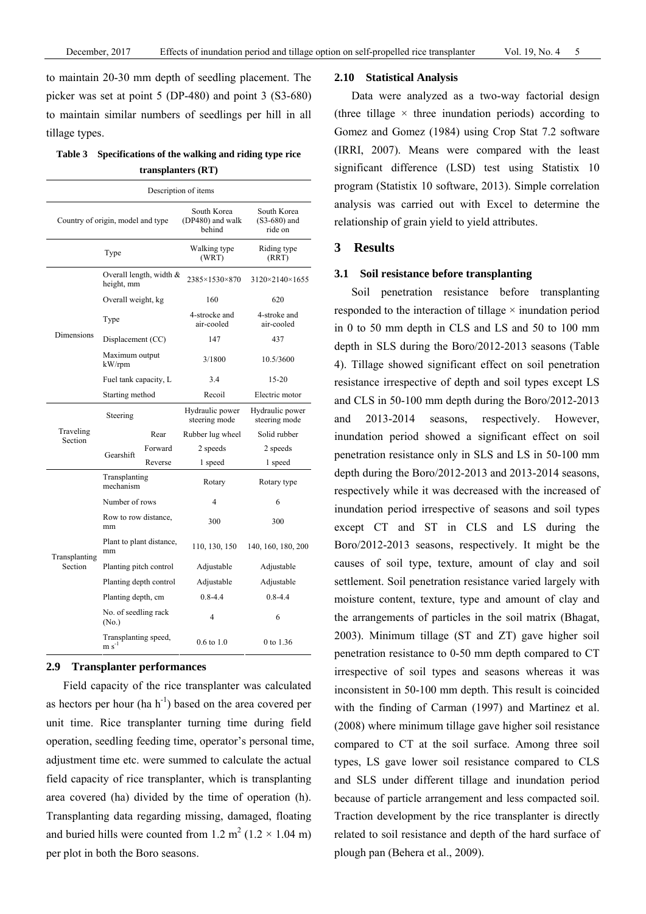to maintain 20-30 mm depth of seedling placement. The picker was set at point 5 (DP-480) and point 3 (S3-680) to maintain similar numbers of seedlings per hill in all tillage types.

| Table 3 Specifications of the walking and riding type rice |
|------------------------------------------------------------|
| transplanters (RT)                                         |

| Description of items |                                          |         |                                           |                                          |  |  |  |  |  |  |
|----------------------|------------------------------------------|---------|-------------------------------------------|------------------------------------------|--|--|--|--|--|--|
|                      | Country of origin, model and type        |         | South Korea<br>(DP480) and walk<br>behind | South Korea<br>$(S3-680)$ and<br>ride on |  |  |  |  |  |  |
|                      | Type                                     |         | Walking type<br>(WRT)                     | Riding type<br>(RRT)                     |  |  |  |  |  |  |
|                      | Overall length, width $\&$<br>height, mm |         | 2385×1530×870                             | 3120×2140×1655                           |  |  |  |  |  |  |
|                      | Overall weight, kg                       |         | 160                                       | 620                                      |  |  |  |  |  |  |
|                      | Type                                     |         | 4-strocke and<br>air-cooled               | 4-stroke and<br>air-cooled               |  |  |  |  |  |  |
| Dimensions           | Displacement (CC)                        |         | 147                                       | 437                                      |  |  |  |  |  |  |
|                      | Maximum output<br>kW/rpm                 |         | 3/1800                                    | 10.5/3600                                |  |  |  |  |  |  |
|                      | Fuel tank capacity, L                    |         | 3.4                                       | $15 - 20$                                |  |  |  |  |  |  |
|                      | Starting method                          |         | Recoil                                    | Electric motor                           |  |  |  |  |  |  |
|                      | Steering                                 |         | Hydraulic power<br>steering mode          | Hydraulic power<br>steering mode         |  |  |  |  |  |  |
| Traveling<br>Section | Rear                                     |         | Rubber lug wheel                          | Solid rubber                             |  |  |  |  |  |  |
|                      | Gearshift                                | Forward | 2 speeds                                  | 2 speeds                                 |  |  |  |  |  |  |
|                      |                                          | Reverse | 1 speed                                   | 1 speed                                  |  |  |  |  |  |  |
|                      | Transplanting<br>mechanism               |         | Rotary                                    | Rotary type                              |  |  |  |  |  |  |
|                      | Number of rows                           |         | 4                                         | 6                                        |  |  |  |  |  |  |
|                      | Row to row distance,<br>mm               |         | 300                                       | 300                                      |  |  |  |  |  |  |
| Transplanting        | Plant to plant distance,<br>mm           |         | 110, 130, 150                             | 140, 160, 180, 200                       |  |  |  |  |  |  |
| Section              | Planting pitch control                   |         | Adjustable                                | Adjustable                               |  |  |  |  |  |  |
|                      | Planting depth control                   |         | Adjustable                                | Adjustable                               |  |  |  |  |  |  |
|                      | Planting depth, cm                       |         | $0.8 - 4.4$                               | $0.8 - 4.4$                              |  |  |  |  |  |  |
|                      | No. of seedling rack<br>(No.)            |         | 4                                         | 6                                        |  |  |  |  |  |  |
|                      | Transplanting speed,<br>$m s^{-1}$       |         | $0.6 \text{ to } 1.0$                     | 0 to 1.36                                |  |  |  |  |  |  |

#### **2.9 Transplanter performances**

Field capacity of the rice transplanter was calculated as hectors per hour (ha  $h^{-1}$ ) based on the area covered per unit time. Rice transplanter turning time during field operation, seedling feeding time, operator's personal time, adjustment time etc. were summed to calculate the actual field capacity of rice transplanter, which is transplanting area covered (ha) divided by the time of operation (h). Transplanting data regarding missing, damaged, floating and buried hills were counted from 1.2 m<sup>2</sup> (1.2  $\times$  1.04 m) per plot in both the Boro seasons.

#### **2.10 Statistical Analysis**

Data were analyzed as a two-way factorial design (three tillage  $\times$  three inundation periods) according to Gomez and Gomez (1984) using Crop Stat 7.2 software (IRRI, 2007). Means were compared with the least significant difference (LSD) test using Statistix 10 program (Statistix 10 software, 2013). Simple correlation analysis was carried out with Excel to determine the relationship of grain yield to yield attributes.

# **3 Results**

#### **3.1 Soil resistance before transplanting**

Soil penetration resistance before transplanting responded to the interaction of tillage × inundation period in 0 to 50 mm depth in CLS and LS and 50 to 100 mm depth in SLS during the Boro/2012-2013 seasons (Table 4). Tillage showed significant effect on soil penetration resistance irrespective of depth and soil types except LS and CLS in 50-100 mm depth during the Boro/2012-2013 and 2013-2014 seasons, respectively. However, inundation period showed a significant effect on soil penetration resistance only in SLS and LS in 50-100 mm depth during the Boro/2012-2013 and 2013-2014 seasons, respectively while it was decreased with the increased of inundation period irrespective of seasons and soil types except CT and ST in CLS and LS during the Boro/2012-2013 seasons, respectively. It might be the causes of soil type, texture, amount of clay and soil settlement. Soil penetration resistance varied largely with moisture content, texture, type and amount of clay and the arrangements of particles in the soil matrix (Bhagat, 2003). Minimum tillage (ST and ZT) gave higher soil penetration resistance to 0-50 mm depth compared to CT irrespective of soil types and seasons whereas it was inconsistent in 50-100 mm depth. This result is coincided with the finding of Carman (1997) and Martinez et al. (2008) where minimum tillage gave higher soil resistance compared to CT at the soil surface. Among three soil types, LS gave lower soil resistance compared to CLS and SLS under different tillage and inundation period because of particle arrangement and less compacted soil. Traction development by the rice transplanter is directly related to soil resistance and depth of the hard surface of plough pan (Behera et al., 2009).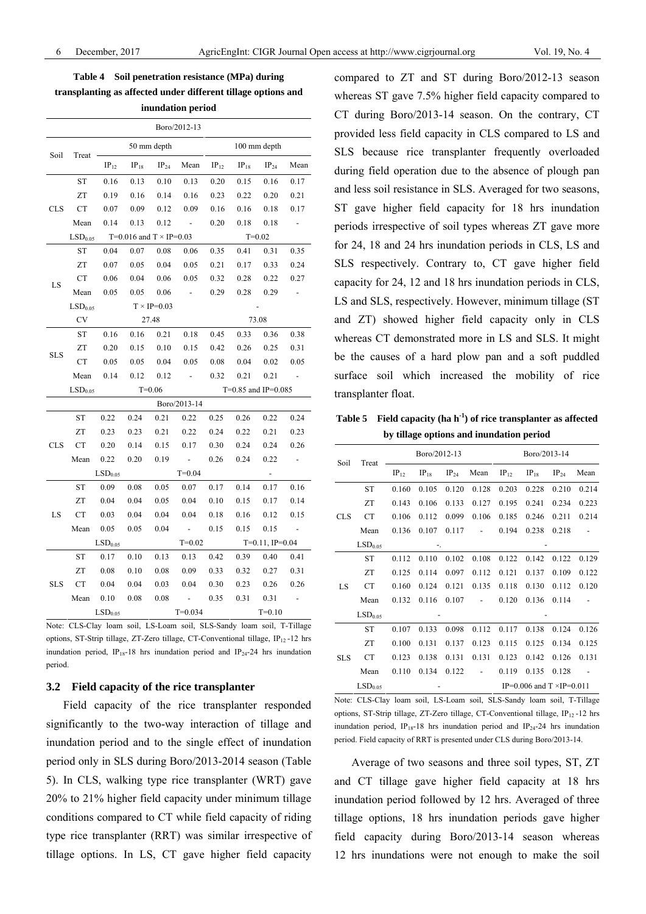**Table 4 Soil penetration resistance (MPa) during transplanting as affected under different tillage options and inundation period** 

|            |                     |                     |                                |                      | Boro/2012-13             |           |                       |                          |                          |  |  |
|------------|---------------------|---------------------|--------------------------------|----------------------|--------------------------|-----------|-----------------------|--------------------------|--------------------------|--|--|
|            |                     |                     |                                | 50 mm depth          |                          |           | 100 mm depth          |                          |                          |  |  |
| Soil       | Treat               | $IP_{12}$           | $IP_{18}$                      | $IP_{24}$            | Mean                     | $IP_{12}$ | $IP_{18}$             | $IP_{24}$                | Mean                     |  |  |
|            | <b>ST</b>           | 0.16                | 0.13                           | 0.10                 | 0.13                     | 0.20      | 0.15                  | 0.16                     | 0.17                     |  |  |
|            | ZT                  | 0.19                | 0.16                           | 0.14                 | 0.16                     | 0.23      | 0.22                  | 0.20                     | 0.21                     |  |  |
| CLS        | <b>CT</b>           | 0.07                | 0.09                           | 0.12                 | 0.09                     | 0.16      | 0.16                  | 0.18                     | 0.17                     |  |  |
|            | Mean                | 0.14                | 0.13                           | 0.12                 | $\sim$                   | 0.20      | 0.18                  | 0.18                     |                          |  |  |
|            | LSD <sub>0.05</sub> |                     | T=0.016 and $T \times IP=0.03$ |                      |                          |           |                       | $T = 0.02$               |                          |  |  |
|            | ST                  | 0.04                | 0.07                           | 0.08                 | 0.06                     | 0.35      | 0.41                  | 0.31                     | 0.35                     |  |  |
|            | ZT                  | 0.07                | 0.05                           | 0.04                 | 0.05                     | 0.21      | 0.17                  | 0.33                     | 0.24                     |  |  |
|            | <b>CT</b>           | 0.06                | 0.04                           | 0.06                 | 0.05                     | 0.32      | 0.28                  | 0.22                     | 0.27                     |  |  |
| LS         | Mean                | 0.05                | 0.05                           | 0.06                 | ÷,                       | 0.29      | 0.28                  | 0.29                     | $\overline{\phantom{a}}$ |  |  |
|            | LSD <sub>0.05</sub> |                     |                                | $T \times IP = 0.03$ |                          |           |                       |                          |                          |  |  |
|            | <b>CV</b>           |                     |                                | 27.48                |                          | 73.08     |                       |                          |                          |  |  |
|            | ST                  | 0.16                | 0.16                           | 0.21                 | 0.18                     | 0.45      | 0.33                  | 0.36                     | 0.38                     |  |  |
|            | ZT                  | 0.20                | 0.15                           | 0.10                 | 0.15                     | 0.42      | 0.26                  | 0.25                     | 0.31                     |  |  |
| <b>SLS</b> | СT                  | 0.05                | 0.05                           | 0.04                 | 0.05                     | 0.08      | 0.04                  | 0.02                     | 0.05                     |  |  |
|            | Mean                | 0.14                | 0.12                           | 0.12                 | $\overline{\phantom{a}}$ | 0.32      | 0.21                  | 0.21                     | $\overline{\phantom{a}}$ |  |  |
|            | LSD <sub>0.05</sub> |                     |                                | $T=0.06$             |                          |           | $T=0.85$ and IP=0.085 |                          |                          |  |  |
|            |                     |                     |                                |                      | Boro/2013-14             |           |                       |                          |                          |  |  |
|            | <b>ST</b>           | 0.22                | 0.24                           | 0.21                 | 0.22                     | 0.25      | 0.26                  | 0.22                     | 0.24                     |  |  |
|            | ZT                  | 0.23                | 0.23                           | 0.21                 | 0.22                     | 0.24      | 0.22                  | 0.21                     | 0.23                     |  |  |
| <b>CLS</b> | CT                  | 0.20                | 0.14                           | 0.15                 | 0.17                     | 0.30      | 0.24                  | 0.24                     | 0.26                     |  |  |
|            | Mean                | 0.22                | 0.20                           | 0.19                 | $\sim$                   | 0.26      | 0.24                  | 0.22                     | $\overline{\phantom{a}}$ |  |  |
|            |                     | LSD <sub>0.05</sub> |                                |                      | $T = 0.04$               |           |                       | $\overline{\phantom{a}}$ |                          |  |  |
|            | <b>ST</b>           | 0.09                | 0.08                           | 0.05                 | 0.07                     | 0.17      | 0.14                  | 0.17                     | 0.16                     |  |  |
|            | ZT                  | 0.04                | 0.04                           | 0.05                 | 0.04                     | 0.10      | 0.15                  | 0.17                     | 0.14                     |  |  |
| LS         | <b>CT</b>           | 0.03                | 0.04                           | 0.04                 | 0.04                     | 0.18      | 0.16                  | 0.12                     | 0.15                     |  |  |
|            | Mean                | 0.05                | 0.05                           | 0.04                 | $\overline{\phantom{a}}$ | 0.15      | 0.15                  | 0.15                     | $\overline{\phantom{a}}$ |  |  |
|            |                     | LSD <sub>0.05</sub> |                                |                      | $T = 0.02$               |           |                       | $T=0.11$ , $IP=0.04$     |                          |  |  |
|            | <b>ST</b>           | 0.17                | 0.10                           | 0.13                 | 0.13                     | 0.42      | 0.39                  | 0.40                     | 0.41                     |  |  |
|            | ZT                  | 0.08                | 0.10                           | 0.08                 | 0.09                     | 0.33      | 0.32                  | 0.27                     | 0.31                     |  |  |
| <b>SLS</b> | <b>CT</b>           | 0.04                | 0.04                           | 0.03                 | 0.04                     | 0.30      | 0.23                  | 0.26                     | 0.26                     |  |  |
|            | Mean                | 0.10                | 0.08                           | 0.08                 | $\overline{a}$           | 0.35      | 0.31                  | 0.31                     |                          |  |  |
|            |                     | LSD <sub>0.05</sub> |                                |                      | $T = 0.034$              |           |                       | $T = 0.10$               |                          |  |  |

Note: CLS-Clay loam soil, LS-Loam soil, SLS-Sandy loam soil, T-Tillage options, ST-Strip tillage, ZT-Zero tillage, CT-Conventional tillage,  $IP_{12}$ -12 hrs inundation period, IP<sub>18</sub>-18 hrs inundation period and IP<sub>24</sub>-24 hrs inundation period.

#### **3.2 Field capacity of the rice transplanter**

Field capacity of the rice transplanter responded significantly to the two-way interaction of tillage and inundation period and to the single effect of inundation period only in SLS during Boro/2013-2014 season (Table 5). In CLS, walking type rice transplanter (WRT) gave 20% to 21% higher field capacity under minimum tillage conditions compared to CT while field capacity of riding type rice transplanter (RRT) was similar irrespective of tillage options. In LS, CT gave higher field capacity compared to ZT and ST during Boro/2012-13 season whereas ST gave 7.5% higher field capacity compared to CT during Boro/2013-14 season. On the contrary, CT provided less field capacity in CLS compared to LS and SLS because rice transplanter frequently overloaded during field operation due to the absence of plough pan and less soil resistance in SLS. Averaged for two seasons, ST gave higher field capacity for 18 hrs inundation periods irrespective of soil types whereas ZT gave more for 24, 18 and 24 hrs inundation periods in CLS, LS and SLS respectively. Contrary to, CT gave higher field capacity for 24, 12 and 18 hrs inundation periods in CLS, LS and SLS, respectively. However, minimum tillage (ST and ZT) showed higher field capacity only in CLS whereas CT demonstrated more in LS and SLS. It might be the causes of a hard plow pan and a soft puddled surface soil which increased the mobility of rice transplanter float.

**Table 5 Field capacity (ha h-1) of rice transplanter as affected by tillage options and inundation period** 

| Soil       | Treat               |           | Boro/2012-13 |           |                          | Boro/2013-14                       |           |           |       |  |  |
|------------|---------------------|-----------|--------------|-----------|--------------------------|------------------------------------|-----------|-----------|-------|--|--|
|            |                     | $IP_{12}$ | $IP_{18}$    | $IP_{24}$ | Mean                     | $IP_{12}$                          | $IP_{18}$ | $IP_{24}$ | Mean  |  |  |
|            | <b>ST</b>           | 0.160     | 0.105        | 0.120     | 0.128                    | 0.203                              | 0.228     | 0.210     | 0.214 |  |  |
| <b>CLS</b> | ZT                  | 0.143     | 0.106        | 0.133     | 0.127                    | 0.195                              | 0.241     | 0.234     | 0.223 |  |  |
|            | <b>CT</b>           | 0.106     | 0.112        | 0.099     | 0.106                    | 0.185                              | 0.246     | 0.211     | 0.214 |  |  |
|            | Mean                | 0.136     | 0.107        | 0.117     | $\overline{\phantom{m}}$ | 0.194                              | 0.238     | 0.218     |       |  |  |
|            | LSD <sub>0.05</sub> | ٠.        |              |           |                          |                                    |           |           |       |  |  |
|            | ST                  | 0.112     | 0.110        | 0.102     | 0.108                    | 0.122                              | 0.142     | 0.122     | 0.129 |  |  |
|            | ZT                  | 0.125     | 0.114        | 0.097     | 0.112                    | 0.121                              | 0.137     | 0.109     | 0.122 |  |  |
| LS         | <b>CT</b>           | 0.160     | 0.124        | 0.121     | 0.135                    | 0.118                              | 0.130     | 0.112     | 0.120 |  |  |
|            | Mean                | 0.132     | 0.116        | 0.107     |                          | 0.120                              | 0.136     | 0.114     |       |  |  |
|            | LSD <sub>0.05</sub> |           |              |           |                          |                                    |           |           |       |  |  |
|            | ST                  | 0.107     | 0.133        | 0.098     | 0.112                    | 0.117                              | 0.138     | 0.124     | 0.126 |  |  |
|            | ZT                  | 0.100     | 0.131        | 0.137     | 0.123                    | 0.115                              | 0.125     | 0.134     | 0.125 |  |  |
| <b>SLS</b> | <b>CT</b>           | 0.123     | 0.138        | 0.131     | 0.131                    | 0.123                              | 0.142     | 0.126     | 0.131 |  |  |
|            | Mean                | 0.110     | 0.134        | 0.122     |                          | 0.119                              | 0.135     | 0.128     |       |  |  |
|            | LSD <sub>0.05</sub> |           |              |           |                          | IP=0.006 and $T \times IP = 0.011$ |           |           |       |  |  |

Note: CLS-Clay loam soil, LS-Loam soil, SLS-Sandy loam soil, T-Tillage options, ST-Strip tillage, ZT-Zero tillage, CT-Conventional tillage, IP12 -12 hrs inundation period,  $IP_{18}$ -18 hrs inundation period and  $IP_{24}$ -24 hrs inundation period. Field capacity of RRT is presented under CLS during Boro/2013-14.

Average of two seasons and three soil types, ST, ZT and CT tillage gave higher field capacity at 18 hrs inundation period followed by 12 hrs. Averaged of three tillage options, 18 hrs inundation periods gave higher field capacity during Boro/2013-14 season whereas 12 hrs inundations were not enough to make the soil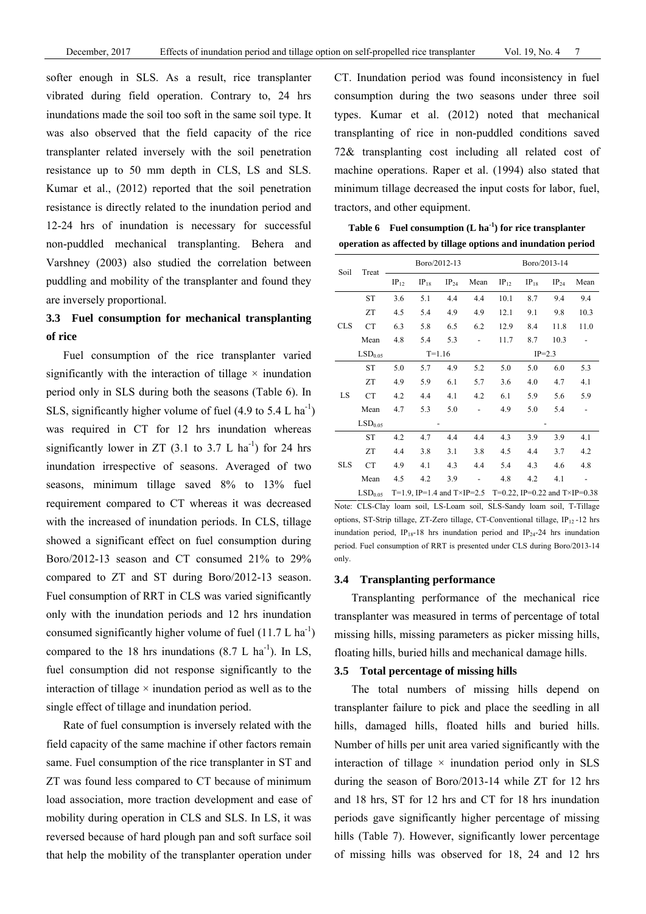softer enough in SLS. As a result, rice transplanter vibrated during field operation. Contrary to, 24 hrs inundations made the soil too soft in the same soil type. It was also observed that the field capacity of the rice transplanter related inversely with the soil penetration resistance up to 50 mm depth in CLS, LS and SLS. Kumar et al., (2012) reported that the soil penetration resistance is directly related to the inundation period and 12-24 hrs of inundation is necessary for successful non-puddled mechanical transplanting. Behera and Varshney (2003) also studied the correlation between puddling and mobility of the transplanter and found they are inversely proportional.

# **3.3 Fuel consumption for mechanical transplanting of rice**

Fuel consumption of the rice transplanter varied significantly with the interaction of tillage  $\times$  inundation period only in SLS during both the seasons (Table 6). In SLS, significantly higher volume of fuel  $(4.9 \text{ to } 5.4 \text{ L ha}^{-1})$ was required in CT for 12 hrs inundation whereas significantly lower in  $ZT$  (3.1 to 3.7 L ha<sup>-1</sup>) for 24 hrs inundation irrespective of seasons. Averaged of two seasons, minimum tillage saved 8% to 13% fuel requirement compared to CT whereas it was decreased with the increased of inundation periods. In CLS, tillage showed a significant effect on fuel consumption during Boro/2012-13 season and CT consumed 21% to 29% compared to ZT and ST during Boro/2012-13 season. Fuel consumption of RRT in CLS was varied significantly only with the inundation periods and 12 hrs inundation consumed significantly higher volume of fuel  $(11.7 \text{ L ha}^{-1})$ compared to the 18 hrs inundations  $(8.7 \text{ L} \text{ ha}^{-1})$ . In LS, fuel consumption did not response significantly to the interaction of tillage  $\times$  inundation period as well as to the single effect of tillage and inundation period.

Rate of fuel consumption is inversely related with the field capacity of the same machine if other factors remain same. Fuel consumption of the rice transplanter in ST and ZT was found less compared to CT because of minimum load association, more traction development and ease of mobility during operation in CLS and SLS. In LS, it was reversed because of hard plough pan and soft surface soil that help the mobility of the transplanter operation under

CT. Inundation period was found inconsistency in fuel consumption during the two seasons under three soil types. Kumar et al. (2012) noted that mechanical transplanting of rice in non-puddled conditions saved 72& transplanting cost including all related cost of machine operations. Raper et al. (1994) also stated that minimum tillage decreased the input costs for labor, fuel, tractors, and other equipment.

**Table 6 Fuel consumption (L ha-1) for rice transplanter operation as affected by tillage options and inundation period** 

|            |                     |           |           | Boro/2012-13 |                          | Boro/2013-14                                             |           |           |      |  |
|------------|---------------------|-----------|-----------|--------------|--------------------------|----------------------------------------------------------|-----------|-----------|------|--|
| Soil       | Treat               | $IP_{12}$ | $IP_{18}$ | $IP_{24}$    | Mean                     | $IP_{12}$                                                | $IP_{18}$ | $IP_{24}$ | Mean |  |
|            | <b>ST</b>           | 3.6       | 5.1       | 4.4          | 4.4                      | 10.1                                                     | 8.7       | 9.4       | 9.4  |  |
| <b>CLS</b> | ZT                  | 4.5       | 5.4       | 4.9          | 4.9                      | 12.1                                                     | 9.1       | 9.8       | 10.3 |  |
|            | <b>CT</b>           | 6.3       | 5.8       | 6.5          | 6.2                      | 12.9                                                     | 8.4       | 11.8      | 11.0 |  |
|            | Mean                | 4.8       | 5.4       | 5.3          |                          | 11.7                                                     | 8.7       | 10.3      |      |  |
|            | LSD <sub>0.05</sub> |           |           | $T = 1.16$   |                          | $IP=2.3$                                                 |           |           |      |  |
|            | <b>ST</b>           | 5.0       | 5.7       | 4.9          | 5.2                      | 5.0                                                      | 5.0       | 6.0       | 5.3  |  |
|            | ZT                  | 4.9       | 5.9       | 6.1          | 5.7                      | 3.6                                                      | 4.0       | 4.7       | 4.1  |  |
| LS         | <b>CT</b>           | 4.2       | 4.4       | 4.1          | 4.2                      | 6.1                                                      | 5.9       | 5.6       | 5.9  |  |
|            | Mean                | 4.7       | 5.3       | 5.0          |                          | 4.9                                                      | 5.0       | 5.4       |      |  |
|            | LSD <sub>0.05</sub> |           |           |              |                          |                                                          |           |           |      |  |
|            | <b>ST</b>           | 4.2       | 4.7       | 4.4          | 4.4                      | 4.3                                                      | 3.9       | 3.9       | 4.1  |  |
|            | ZT                  | 4.4       | 3.8       | 3.1          | 3.8                      | 4.5                                                      | 4.4       | 3.7       | 4.2  |  |
| <b>SLS</b> | CT                  | 4.9       | 4.1       | 4.3          | 4.4                      | 5.4                                                      | 4.3       | 4.6       | 4.8  |  |
|            | Mean                | 4.5       | 4.2       | 3.9          | $\overline{\phantom{a}}$ | 4.8                                                      | 4.2       | 4.1       |      |  |
|            | LSD <sub>0.05</sub> |           |           |              |                          | T=1.9, IP=1.4 and T×IP=2.5 T=0.22, IP=0.22 and T×IP=0.38 |           |           |      |  |

Note: CLS-Clay loam soil, LS-Loam soil, SLS-Sandy loam soil, T-Tillage options, ST-Strip tillage, ZT-Zero tillage, CT-Conventional tillage, IP<sub>12</sub>-12 hrs inundation period, IP<sub>18</sub>-18 hrs inundation period and IP<sub>24</sub>-24 hrs inundation period. Fuel consumption of RRT is presented under CLS during Boro/2013-14 only.

#### **3.4 Transplanting performance**

Transplanting performance of the mechanical rice transplanter was measured in terms of percentage of total missing hills, missing parameters as picker missing hills, floating hills, buried hills and mechanical damage hills.

#### **3.5 Total percentage of missing hills**

The total numbers of missing hills depend on transplanter failure to pick and place the seedling in all hills, damaged hills, floated hills and buried hills. Number of hills per unit area varied significantly with the interaction of tillage  $\times$  inundation period only in SLS during the season of Boro/2013-14 while ZT for 12 hrs and 18 hrs, ST for 12 hrs and CT for 18 hrs inundation periods gave significantly higher percentage of missing hills (Table 7). However, significantly lower percentage of missing hills was observed for 18, 24 and 12 hrs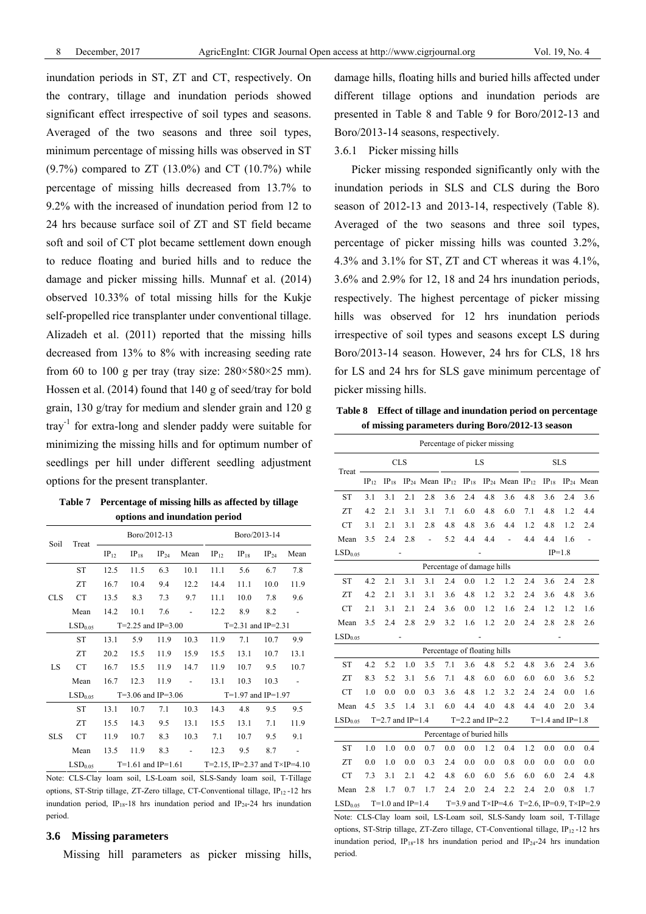inundation periods in ST, ZT and CT, respectively. On the contrary, tillage and inundation periods showed significant effect irrespective of soil types and seasons. Averaged of the two seasons and three soil types, minimum percentage of missing hills was observed in ST  $(9.7%)$  compared to ZT  $(13.0%)$  and CT  $(10.7%)$  while percentage of missing hills decreased from 13.7% to 9.2% with the increased of inundation period from 12 to 24 hrs because surface soil of ZT and ST field became soft and soil of CT plot became settlement down enough to reduce floating and buried hills and to reduce the damage and picker missing hills. Munnaf et al. (2014) observed 10.33% of total missing hills for the Kukje self-propelled rice transplanter under conventional tillage. Alizadeh et al. (2011) reported that the missing hills decreased from 13% to 8% with increasing seeding rate from 60 to 100 g per tray (tray size:  $280 \times 580 \times 25$  mm). Hossen et al. (2014) found that 140 g of seed/tray for bold grain, 130 g/tray for medium and slender grain and 120 g tray-1 for extra-long and slender paddy were suitable for minimizing the missing hills and for optimum number of seedlings per hill under different seedling adjustment options for the present transplanter.

**Table 7 Percentage of missing hills as affected by tillage options and inundation period** 

| Soil       | Treat               |           | Boro/2012-13           |           |      |                        | Boro/2013-14                          |           |      |  |
|------------|---------------------|-----------|------------------------|-----------|------|------------------------|---------------------------------------|-----------|------|--|
|            |                     | $IP_{12}$ | $IP_{18}$              | $IP_{24}$ | Mean | $IP_{12}$              | $IP_{18}$                             | $IP_{24}$ | Mean |  |
|            | <b>ST</b>           | 12.5      | 11.5                   | 6.3       | 10.1 | 11.1                   | 5.6                                   | 6.7       | 7.8  |  |
| <b>CLS</b> | ZT                  | 16.7      | 10.4                   | 9.4       | 12.2 | 14.4                   | 11.1                                  | 10.0      | 11.9 |  |
|            | <b>CT</b>           | 13.5      | 8.3                    | 7.3       | 9.7  | 11.1                   | 10.0                                  | 7.8       | 9.6  |  |
|            | Mean                | 14.2      | 10.1                   | 7.6       |      | 12.2                   | 8.9                                   | 8.2       |      |  |
|            | LSD <sub>0.05</sub> |           | $T=2.25$ and $IP=3.00$ |           |      | $T=2.31$ and $IP=2.31$ |                                       |           |      |  |
|            | <b>ST</b>           | 13.1      | 5.9                    | 11.9      | 10.3 | 11.9                   | 7.1                                   | 10.7      | 9.9  |  |
|            | ZT                  | 20.2      | 15.5                   | 11.9      | 15.9 | 15.5                   | 13.1                                  | 10.7      | 13.1 |  |
| LS         | <b>CT</b>           | 16.7      | 15.5                   | 11.9      | 14.7 | 11.9                   | 10.7                                  | 9.5       | 10.7 |  |
|            | Mean                | 16.7      | 12.3                   | 11.9      |      | 13.1                   | 10.3                                  | 10.3      |      |  |
|            | LSD <sub>0.05</sub> |           | $T=3.06$ and IP=3.06   |           |      |                        | $T=1.97$ and $IP=1.97$                |           |      |  |
|            | <b>ST</b>           | 13.1      | 10.7                   | 7.1       | 10.3 | 14.3                   | 4.8                                   | 9.5       | 9.5  |  |
|            | <b>ZT</b>           | 15.5      | 14.3                   | 9.5       | 13.1 | 15.5                   | 13.1                                  | 7.1       | 11.9 |  |
| <b>SLS</b> | <b>CT</b>           | 11.9      | 10.7                   | 8.3       | 10.3 | 7.1                    | 10.7                                  | 9.5       | 9.1  |  |
|            | Mean                | 13.5      | 11.9                   | 8.3       |      | 12.3                   | 9.5                                   | 8.7       |      |  |
|            | LSD <sub>0.05</sub> |           | $T=1.61$ and $IP=1.61$ |           |      |                        | T=2.15, IP=2.37 and $T\times$ IP=4.10 |           |      |  |

Note: CLS-Clay loam soil, LS-Loam soil, SLS-Sandy loam soil, T-Tillage options, ST-Strip tillage, ZT-Zero tillage, CT-Conventional tillage,  $IP_{12}$ -12 hrs inundation period,  $IP_{18}$ -18 hrs inundation period and  $IP_{24}$ -24 hrs inundation period.

# **3.6 Missing parameters**

Missing hill parameters as picker missing hills,

damage hills, floating hills and buried hills affected under different tillage options and inundation periods are presented in Table 8 and Table 9 for Boro/2012-13 and Boro/2013-14 seasons, respectively.

# 3.6.1 Picker missing hills

Picker missing responded significantly only with the inundation periods in SLS and CLS during the Boro season of 2012-13 and 2013-14, respectively (Table 8). Averaged of the two seasons and three soil types, percentage of picker missing hills was counted 3.2%, 4.3% and 3.1% for ST, ZT and CT whereas it was 4.1%, 3.6% and 2.9% for 12, 18 and 24 hrs inundation periods, respectively. The highest percentage of picker missing hills was observed for 12 hrs inundation periods irrespective of soil types and seasons except LS during Boro/2013-14 season. However, 24 hrs for CLS, 18 hrs for LS and 24 hrs for SLS gave minimum percentage of picker missing hills.

**Table 8 Effect of tillage and inundation period on percentage of missing parameters during Boro/2012-13 season** 

|                     |           |                      |     | Percentage of picker missing                                |     |                              |     |               |     |                      |          |                                            |
|---------------------|-----------|----------------------|-----|-------------------------------------------------------------|-----|------------------------------|-----|---------------|-----|----------------------|----------|--------------------------------------------|
| Treat               |           | <b>CLS</b>           |     |                                                             |     | LS                           |     |               |     | <b>SLS</b>           |          |                                            |
|                     | $IP_{12}$ | $IP_{18}$            |     | $IP_{24}$ Mean $IP_{12}$ $IP_{18}$ $IP_{24}$ Mean $IP_{12}$ |     |                              |     |               |     | $IP_{18}$            |          | $IP_{24}$ Mean                             |
| <b>ST</b>           | 3.1       | 3.1                  | 2.1 | 2.8                                                         | 3.6 | 2.4                          | 4.8 | 3.6           | 4.8 | 3.6                  | 2.4      | 3.6                                        |
| ZT                  | 4.2       | 2.1                  | 3.1 | 3.1                                                         | 7.1 | 6.0                          | 4.8 | 6.0           | 7.1 | 4.8                  | 1.2      | 4.4                                        |
| <b>CT</b>           | 3.1       | 2.1                  | 3.1 | 2.8                                                         | 4.8 | 4.8                          | 3.6 | 4.4           | 1.2 | 4.8                  | 1.2      | 2.4                                        |
| Mean                | 3.5       | 2.4                  | 2.8 | $\frac{1}{2}$                                               | 5.2 | 4.4                          | 4.4 | $\frac{1}{2}$ | 4.4 | 4.4                  | 1.6      | $\overline{\phantom{0}}$                   |
| LSD <sub>0.05</sub> |           |                      |     |                                                             |     |                              |     |               |     |                      | $IP=1.8$ |                                            |
|                     |           |                      |     |                                                             |     | Percentage of damage hills   |     |               |     |                      |          |                                            |
| ST                  | 4.2       | 2.1                  | 3.1 | 3.1                                                         | 2.4 | 0.0                          | 1.2 | 1.2           | 2.4 | 3.6                  | 2.4      | 2.8                                        |
| ZT                  | 4.2       | 2.1                  | 3.1 | 3.1                                                         | 3.6 | 4.8                          | 1.2 | 3.2           | 2.4 | 3.6                  | 4.8      | 3.6                                        |
| <b>CT</b>           | 2.1       | 3.1                  | 2.1 | 2.4                                                         | 3.6 | 0.0                          | 1.2 | 1.6           | 2.4 | 1.2                  | 1.2      | 1.6                                        |
| Mean                | 3.5       | 2.4                  | 2.8 | 2.9                                                         | 3.2 | 1.6                          | 1.2 | 2.0           | 2.4 | 2.8                  | 2.8      | 2.6                                        |
| LSD <sub>0.05</sub> |           |                      |     |                                                             |     |                              |     |               |     |                      |          |                                            |
|                     |           |                      |     |                                                             |     | Percentage of floating hills |     |               |     |                      |          |                                            |
| ST                  | 4.2       | 5.2                  | 1.0 | 3.5                                                         | 7.1 | 3.6                          | 4.8 | 5.2           | 4.8 | 3.6                  | 2.4      | 3.6                                        |
| ZT                  | 8.3       | 5.2                  | 3.1 | 5.6                                                         | 7.1 | 4.8                          | 6.0 | 6.0           | 6.0 | 6.0                  | 3.6      | 5.2                                        |
| <b>CT</b>           | 1.0       | 0.0                  | 0.0 | 0.3                                                         | 3.6 | 4.8                          | 1.2 | 3.2           | 2.4 | 2.4                  | 0.0      | 1.6                                        |
| Mean                | 4.5       | 3.5                  | 1.4 | 3.1                                                         | 6.0 | 4.4                          | 4.0 | 4.8           | 4.4 | 4.0                  | 2.0      | 3.4                                        |
| LSD <sub>0.05</sub> |           | $T=2.7$ and $IP=1.4$ |     |                                                             |     | $T=2.2$ and $IP=2.2$         |     |               |     | $T=1.4$ and $IP=1.8$ |          |                                            |
|                     |           |                      |     |                                                             |     | Percentage of buried hills   |     |               |     |                      |          |                                            |
| <b>ST</b>           | 1.0       | 1.0                  | 0.0 | 0.7                                                         | 0.0 | 0.0                          | 1.2 | 0.4           | 1.2 | 0.0                  | 0.0      | 0.4                                        |
| ZT                  | 0.0       | 1.0                  | 0.0 | 0.3                                                         | 2.4 | 0.0                          | 0.0 | 0.8           | 0.0 | 0.0                  | 0.0      | 0.0                                        |
| <b>CT</b>           | 7.3       | 3.1                  | 2.1 | 4.2                                                         | 4.8 | 6.0                          | 6.0 | 5.6           | 6.0 | 6.0                  | 2.4      | 4.8                                        |
| Mean                | 2.8       | 1.7                  | 0.7 | 1.7                                                         | 2.4 | 2.0                          | 2.4 | 2.2           | 2.4 | 2.0                  | 0.8      | 1.7                                        |
| LSD <sub>0.05</sub> |           | $T=1.0$ and $IP=1.4$ |     |                                                             |     |                              |     |               |     |                      |          | T=3.9 and T×IP=4.6 T=2.6, IP=0.9, T×IP=2.9 |

Note: CLS-Clay loam soil, LS-Loam soil, SLS-Sandy loam soil, T-Tillage options, ST-Strip tillage, ZT-Zero tillage, CT-Conventional tillage,  $IP_{12}$ -12 hrs inundation period, IP<sub>18</sub>-18 hrs inundation period and IP<sub>24</sub>-24 hrs inundation period.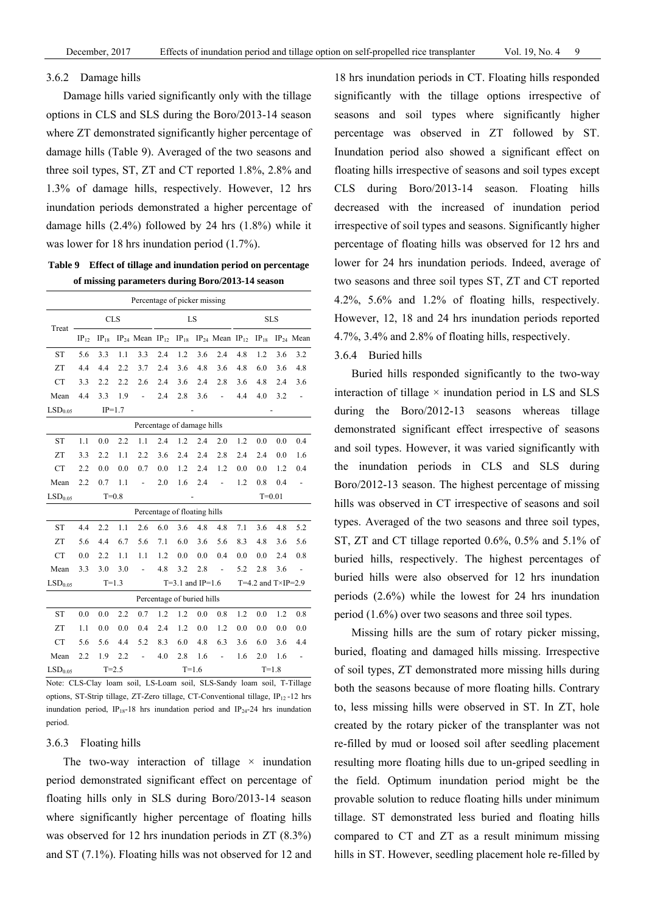#### 3.6.2 Damage hills

Damage hills varied significantly only with the tillage options in CLS and SLS during the Boro/2013-14 season where ZT demonstrated significantly higher percentage of damage hills (Table 9). Averaged of the two seasons and three soil types, ST, ZT and CT reported 1.8%, 2.8% and 1.3% of damage hills, respectively. However, 12 hrs inundation periods demonstrated a higher percentage of damage hills (2.4%) followed by 24 hrs (1.8%) while it was lower for 18 hrs inundation period (1.7%).

**Table 9 Effect of tillage and inundation period on percentage of missing parameters during Boro/2013-14 season** 

|                     |           |            |           | Percentage of picker missing |     |                            |         |                                                                                      |     |                            |            |                          |
|---------------------|-----------|------------|-----------|------------------------------|-----|----------------------------|---------|--------------------------------------------------------------------------------------|-----|----------------------------|------------|--------------------------|
| Treat               |           | <b>CLS</b> |           |                              |     |                            | LS      |                                                                                      |     |                            | <b>SLS</b> |                          |
|                     | $IP_{12}$ | $IP_{18}$  |           |                              |     |                            |         | $IP_{24}$ Mean $IP_{12}$ $IP_{18}$ $IP_{24}$ Mean $IP_{12}$ $IP_{18}$ $IP_{24}$ Mean |     |                            |            |                          |
| <b>ST</b>           | 5.6       | 3.3        | 1.1       | 3.3                          | 2.4 | 1.2                        | 3.6     | 2.4                                                                                  | 4.8 | 1.2                        | 3.6        | 3.2                      |
| <b>ZT</b>           | 4.4       | 4.4        | 2.2       | 3.7                          | 2.4 | 3.6                        | 4.8     | 3.6                                                                                  | 4.8 | 6.0                        | 3.6        | 4.8                      |
| <b>CT</b>           | 3.3       | 2.2        | 2.2       | 2.6                          | 2.4 | 3.6                        | 2.4     | 2.8                                                                                  | 3.6 | 4.8                        | 2.4        | 3.6                      |
| Mean                | 4.4       | 3.3        | 1.9       | $\frac{1}{2}$                | 2.4 | 2.8                        | 3.6     | $\overline{a}$                                                                       | 4.4 | 4.0                        | 3.2        |                          |
| LSD <sub>0.05</sub> |           | $IP=1.7$   |           |                              |     |                            |         |                                                                                      |     |                            |            |                          |
|                     |           |            |           | Percentage of damage hills   |     |                            |         |                                                                                      |     |                            |            |                          |
| <b>ST</b>           | 1.1       | 0.0        | 2.2       | 1.1                          | 2.4 | 1.2                        | 2.4     | 2.0                                                                                  | 1.2 | 0.0                        | 0.0        | 0.4                      |
| <b>ZT</b>           | 3.3       | 2.2        | 1.1       | 2.2                          | 3.6 | 2.4                        | 2.4     | 2.8                                                                                  | 2.4 | 2.4                        | 0.0        | 1.6                      |
| <b>CT</b>           | 2.2       | 0.0        | 0.0       | 0.7                          | 0.0 | 1.2                        | 2.4     | 1.2                                                                                  | 0.0 | 0.0                        | 1.2        | 0.4                      |
| Mean                | 2.2       | 0.7        | 1.1       | $\frac{1}{2}$                | 2.0 | 1.6                        | 2.4     | $\frac{1}{2}$                                                                        | 1.2 | 0.8                        | 0.4        |                          |
| LSD <sub>0.05</sub> |           |            | $T = 0.8$ |                              |     |                            |         |                                                                                      |     |                            | $T = 0.01$ |                          |
|                     |           |            |           | Percentage of floating hills |     |                            |         |                                                                                      |     |                            |            |                          |
| <b>ST</b>           | 4.4       | 2.2        | 1.1       | 2.6                          | 6.0 | 3.6                        | 4.8     | 4.8                                                                                  | 7.1 | 3.6                        | 4.8        | 5.2                      |
| ZT                  | 5.6       | 4.4        | 6.7       | 5.6                          | 7.1 | 6.0                        | 3.6     | 5.6                                                                                  | 8.3 | 4.8                        | 3.6        | 5.6                      |
| <b>CT</b>           | 0.0       | 2.2        | 1.1       | 1.1                          | 1.2 | 0.0                        | 0.0     | 0.4                                                                                  | 0.0 | 0.0                        | 2.4        | 0.8                      |
| Mean                | 3.3       | 3.0        | 3.0       | $\overline{\phantom{0}}$     | 4.8 | 3.2                        | 2.8     | $\overline{\phantom{a}}$                                                             | 5.2 | 2.8                        | 3.6        | $\overline{\phantom{a}}$ |
| LSD <sub>0.05</sub> |           | $T = 1.3$  |           |                              |     | $T=3.1$ and $IP=1.6$       |         |                                                                                      |     | T=4.2 and $T\times IP=2.9$ |            |                          |
|                     |           |            |           |                              |     | Percentage of buried hills |         |                                                                                      |     |                            |            |                          |
| <b>ST</b>           | 0.0       | 0.0        | 2.2       | 0.7                          | 1.2 | 1.2                        | 0.0     | 0.8                                                                                  | 1.2 | 0.0                        | 1.2        | 0.8                      |
| ZT                  | 1.1       | 0.0        | 0.0       | 0.4                          | 2.4 | 1.2                        | 0.0     | 1.2                                                                                  | 0.0 | 0.0                        | 0.0        | 0.0                      |
| <b>CT</b>           | 5.6       | 5.6        | 4.4       | 5.2                          | 8.3 | 6.0                        | 4.8     | 6.3                                                                                  | 3.6 | 6.0                        | 3.6        | 4.4                      |
| Mean                | 2.2       | 1.9        | 2.2       | $\frac{1}{2}$                | 4.0 | 2.8                        | 1.6     | $\centerdot$                                                                         | 1.6 | 2.0                        | 1.6        | $\overline{a}$           |
| LSD <sub>0.05</sub> |           | $T = 2.5$  |           |                              |     |                            | $T=1.6$ |                                                                                      |     |                            | $T = 1.8$  |                          |

Note: CLS-Clay loam soil, LS-Loam soil, SLS-Sandy loam soil, T-Tillage options, ST-Strip tillage, ZT-Zero tillage, CT-Conventional tillage,  $IP_{12}$ -12 hrs inundation period,  $IP_{18}$ -18 hrs inundation period and  $IP_{24}$ -24 hrs inundation period.

# 3.6.3 Floating hills

The two-way interaction of tillage  $\times$  inundation period demonstrated significant effect on percentage of floating hills only in SLS during Boro/2013-14 season where significantly higher percentage of floating hills was observed for 12 hrs inundation periods in ZT (8.3%) and ST (7.1%). Floating hills was not observed for 12 and

18 hrs inundation periods in CT. Floating hills responded significantly with the tillage options irrespective of seasons and soil types where significantly higher percentage was observed in ZT followed by ST. Inundation period also showed a significant effect on floating hills irrespective of seasons and soil types except CLS during Boro/2013-14 season. Floating hills decreased with the increased of inundation period irrespective of soil types and seasons. Significantly higher percentage of floating hills was observed for 12 hrs and lower for 24 hrs inundation periods. Indeed, average of two seasons and three soil types ST, ZT and CT reported 4.2%, 5.6% and 1.2% of floating hills, respectively. However, 12, 18 and 24 hrs inundation periods reported 4.7%, 3.4% and 2.8% of floating hills, respectively.

# 3.6.4 Buried hills

Buried hills responded significantly to the two-way interaction of tillage  $\times$  inundation period in LS and SLS during the Boro/2012-13 seasons whereas tillage demonstrated significant effect irrespective of seasons and soil types. However, it was varied significantly with the inundation periods in CLS and SLS during Boro/2012-13 season. The highest percentage of missing hills was observed in CT irrespective of seasons and soil types. Averaged of the two seasons and three soil types, ST, ZT and CT tillage reported 0.6%, 0.5% and 5.1% of buried hills, respectively. The highest percentages of buried hills were also observed for 12 hrs inundation periods (2.6%) while the lowest for 24 hrs inundation period (1.6%) over two seasons and three soil types.

Missing hills are the sum of rotary picker missing, buried, floating and damaged hills missing. Irrespective of soil types, ZT demonstrated more missing hills during both the seasons because of more floating hills. Contrary to, less missing hills were observed in ST. In ZT, hole created by the rotary picker of the transplanter was not re-filled by mud or loosed soil after seedling placement resulting more floating hills due to un-griped seedling in the field. Optimum inundation period might be the provable solution to reduce floating hills under minimum tillage. ST demonstrated less buried and floating hills compared to CT and ZT as a result minimum missing hills in ST. However, seedling placement hole re-filled by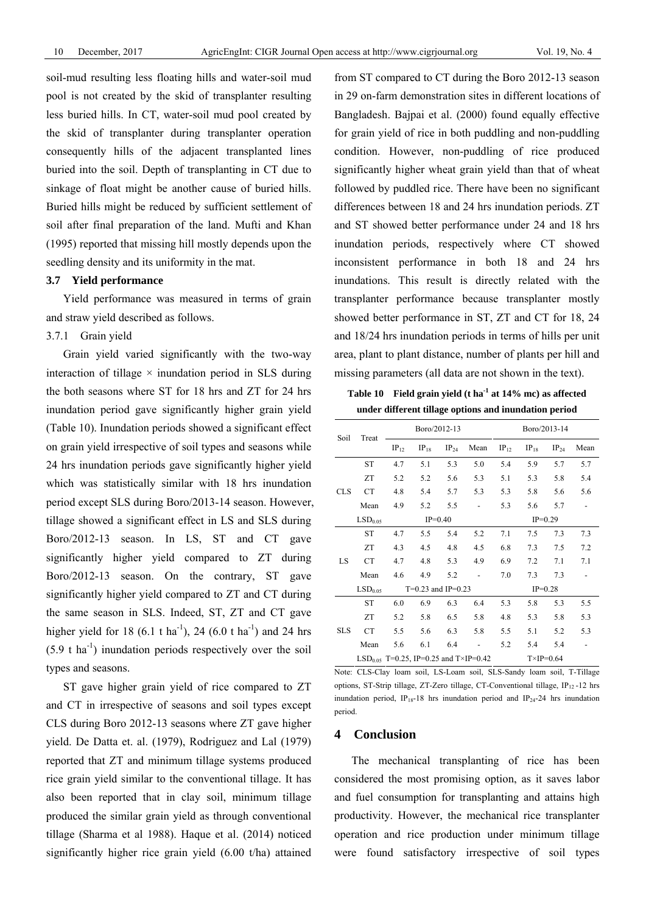soil-mud resulting less floating hills and water-soil mud pool is not created by the skid of transplanter resulting less buried hills. In CT, water-soil mud pool created by the skid of transplanter during transplanter operation consequently hills of the adjacent transplanted lines buried into the soil. Depth of transplanting in CT due to sinkage of float might be another cause of buried hills. Buried hills might be reduced by sufficient settlement of soil after final preparation of the land. Mufti and Khan (1995) reported that missing hill mostly depends upon the seedling density and its uniformity in the mat.

# **3.7 Yield performance**

Yield performance was measured in terms of grain and straw yield described as follows.

#### 3.7.1 Grain yield

Grain yield varied significantly with the two-way interaction of tillage  $\times$  inundation period in SLS during the both seasons where ST for 18 hrs and ZT for 24 hrs inundation period gave significantly higher grain yield (Table 10). Inundation periods showed a significant effect on grain yield irrespective of soil types and seasons while 24 hrs inundation periods gave significantly higher yield which was statistically similar with 18 hrs inundation period except SLS during Boro/2013-14 season. However, tillage showed a significant effect in LS and SLS during Boro/2012-13 season. In LS, ST and CT gave significantly higher yield compared to ZT during Boro/2012-13 season. On the contrary, ST gave significantly higher yield compared to ZT and CT during the same season in SLS. Indeed, ST, ZT and CT gave higher yield for 18 (6.1 t ha<sup>-1</sup>), 24 (6.0 t ha<sup>-1</sup>) and 24 hrs  $(5.9 \text{ t} \text{ ha}^{-1})$  inundation periods respectively over the soil types and seasons.

ST gave higher grain yield of rice compared to ZT and CT in irrespective of seasons and soil types except CLS during Boro 2012-13 seasons where ZT gave higher yield. De Datta et. al. (1979), Rodriguez and Lal (1979) reported that ZT and minimum tillage systems produced rice grain yield similar to the conventional tillage. It has also been reported that in clay soil, minimum tillage produced the similar grain yield as through conventional tillage (Sharma et al 1988). Haque et al. (2014) noticed significantly higher rice grain yield (6.00 t/ha) attained from ST compared to CT during the Boro 2012-13 season in 29 on-farm demonstration sites in different locations of Bangladesh. Bajpai et al. (2000) found equally effective for grain yield of rice in both puddling and non-puddling condition. However, non-puddling of rice produced significantly higher wheat grain yield than that of wheat followed by puddled rice. There have been no significant differences between 18 and 24 hrs inundation periods. ZT and ST showed better performance under 24 and 18 hrs inundation periods, respectively where CT showed inconsistent performance in both 18 and 24 hrs inundations. This result is directly related with the transplanter performance because transplanter mostly showed better performance in ST, ZT and CT for 18, 24 and 18/24 hrs inundation periods in terms of hills per unit area, plant to plant distance, number of plants per hill and missing parameters (all data are not shown in the text).

**Table 10 Field grain yield (t ha-1 at 14% mc) as affected under different tillage options and inundation period** 

| Soil       | Treat                                             |           |                      | Boro/2012-13 |      | Boro/2013-14      |           |           |      |  |  |
|------------|---------------------------------------------------|-----------|----------------------|--------------|------|-------------------|-----------|-----------|------|--|--|
|            |                                                   | $IP_{12}$ | $IP_{18}$            | $IP_{24}$    | Mean | $IP_{12}$         | $IP_{18}$ | $IP_{24}$ | Mean |  |  |
|            | <b>ST</b>                                         | 4.7       | 5.1                  | 5.3          | 5.0  | 5.4               | 5.9       | 5.7       | 5.7  |  |  |
| <b>CLS</b> | ZT                                                | 5.2       | 5.2                  | 5.6          | 5.3  | 5.1               | 5.3       | 5.8       | 5.4  |  |  |
|            | <b>CT</b>                                         | 4.8       | 5.4                  | 5.7          | 5.3  | 5.3               | 5.8       | 5.6       | 5.6  |  |  |
|            | Mean                                              | 4.9       | 5.2                  | 5.5          |      | 5.3               | 5.6       | 5.7       | -    |  |  |
|            | LSD <sub>0.05</sub>                               |           |                      | $IP=0.40$    |      | $IP=0.29$         |           |           |      |  |  |
|            | <b>ST</b>                                         | 4.7       | 5.5                  | 5.4          | 5.2  | 7.1               | 7.5       | 7.3       | 7.3  |  |  |
|            | <b>ZT</b>                                         | 4.3       | 4.5                  | 4.8          | 4.5  | 6.8               | 7.3       | 7.5       | 7.2  |  |  |
| LS         | <b>CT</b>                                         | 4.7       | 4.8                  | 5.3          | 4.9  | 6.9               | 7.2       | 7.1       | 7.1  |  |  |
|            | Mean                                              | 4.6       | 4.9                  | 5.2          |      | 7.0               | 7.3       | 7.3       |      |  |  |
|            | LSD <sub>0.05</sub>                               |           | $T=0.23$ and IP=0.23 |              |      |                   |           | $IP=0.28$ |      |  |  |
|            | <b>ST</b>                                         | 6.0       | 6.9                  | 6.3          | 6.4  | 5.3               | 5.8       | 5.3       | 5.5  |  |  |
|            | <b>ZT</b>                                         | 5.2       | 5.8                  | 6.5          | 5.8  | 4.8               | 5.3       | 5.8       | 5.3  |  |  |
| <b>SLS</b> | <b>CT</b>                                         | 5.5       | 5.6                  | 6.3          | 5.8  | 5.5               | 5.1       | 5.2       | 5.3  |  |  |
|            | Mean                                              | 5.6       | 6.1                  | 6.4          |      | 5.2               | 5.4       | 5.4       |      |  |  |
|            | LSD <sub>0.05</sub> T=0.25, IP=0.25 and T×IP=0.42 |           |                      |              |      | $T\times IP=0.64$ |           |           |      |  |  |

Note: CLS-Clay loam soil, LS-Loam soil, SLS-Sandy loam soil, T-Tillage options, ST-Strip tillage, ZT-Zero tillage, CT-Conventional tillage, IP<sub>12</sub>-12 hrs inundation period, IP<sub>18</sub>-18 hrs inundation period and IP<sub>24</sub>-24 hrs inundation period.

#### **4 Conclusion**

The mechanical transplanting of rice has been considered the most promising option, as it saves labor and fuel consumption for transplanting and attains high productivity. However, the mechanical rice transplanter operation and rice production under minimum tillage were found satisfactory irrespective of soil types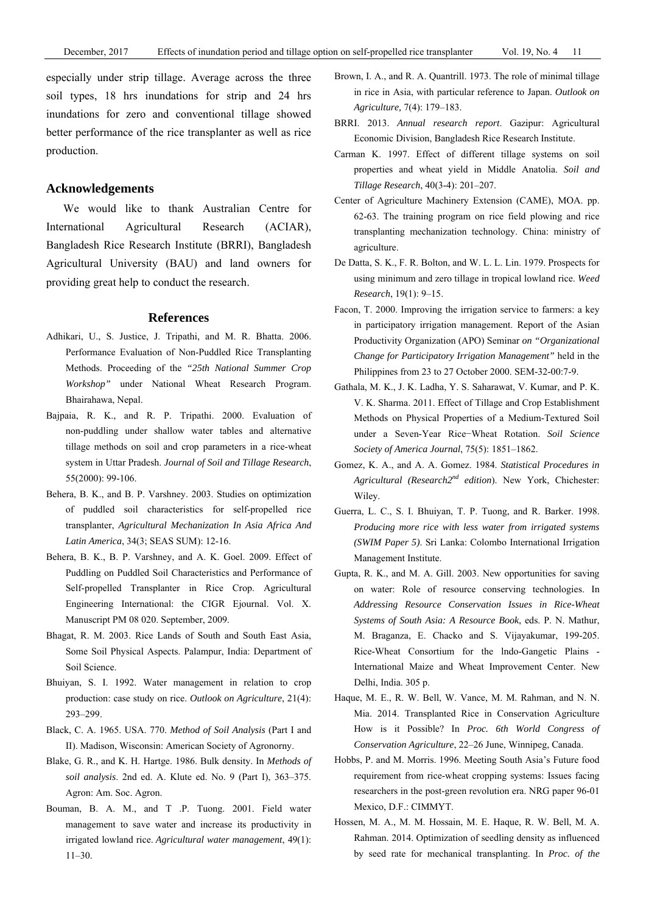#### **Acknowledgements**

We would like to thank Australian Centre for International Agricultural Research (ACIAR), Bangladesh Rice Research Institute (BRRI), Bangladesh Agricultural University (BAU) and land owners for providing great help to conduct the research.

# **References**

- Adhikari, U., S. Justice, J. Tripathi, and M. R. Bhatta. 2006. Performance Evaluation of Non-Puddled Rice Transplanting Methods. Proceeding of the *"25th National Summer Crop Workshop"* under National Wheat Research Program. Bhairahawa, Nepal.
- Bajpaia, R. K., and R. P. Tripathi. 2000. Evaluation of non-puddling under shallow water tables and alternative tillage methods on soil and crop parameters in a rice-wheat system in Uttar Pradesh. *Journal of Soil and Tillage Research*, 55(2000): 99-106.
- Behera, B. K., and B. P. Varshney. 2003. Studies on optimization of puddled soil characteristics for self-propelled rice transplanter, *Agricultural Mechanization In Asia Africa And Latin America*, 34(3; SEAS SUM): 12-16.
- Behera, B. K., B. P. Varshney, and A. K. Goel. 2009. Effect of Puddling on Puddled Soil Characteristics and Performance of Self-propelled Transplanter in Rice Crop. Agricultural Engineering International: the CIGR Ejournal. Vol. X. Manuscript PM 08 020. September, 2009.
- Bhagat, R. M. 2003. Rice Lands of South and South East Asia, Some Soil Physical Aspects. Palampur, India: Department of Soil Science.
- Bhuiyan, S. I. 1992. Water management in relation to crop production: case study on rice. *Outlook on Agriculture*, 21(4): 293–299.
- Black, C. A. 1965. USA. 770. *Method of Soil Analysis* (Part I and II). Madison, Wisconsin: American Society of Agronorny.
- Blake, G. R., and K. H. Hartge. 1986. Bulk density. In *Methods of soil analysis*. 2nd ed. A. Klute ed. No. 9 (Part I), 363–375. Agron: Am. Soc. Agron.
- Bouman, B. A. M., and T .P. Tuong. 2001. Field water management to save water and increase its productivity in irrigated lowland rice. *Agricultural water management*, 49(1): 11–30.
- Brown, I. A., and R. A. Quantrill. 1973. The role of minimal tillage in rice in Asia, with particular reference to Japan. *Outlook on Agriculture,* 7(4): 179–183.
- BRRI. 2013. *Annual research report*. Gazipur: Agricultural Economic Division, Bangladesh Rice Research Institute.
- Carman K. 1997. Effect of different tillage systems on soil properties and wheat yield in Middle Anatolia. *Soil and Tillage Research*, 40(3-4): 201–207.
- Center of Agriculture Machinery Extension (CAME), MOA. pp. 62-63. The training program on rice field plowing and rice transplanting mechanization technology. China: ministry of agriculture.
- De Datta, S. K., F. R. Bolton, and W. L. L. Lin. 1979. Prospects for using minimum and zero tillage in tropical lowland rice. *Weed Research*, 19(1): 9–15.
- Facon, T. 2000. Improving the irrigation service to farmers: a key in participatory irrigation management. Report of the Asian Productivity Organization (APO) Seminar *on "Organizational Change for Participatory Irrigation Management"* held in the Philippines from 23 to 27 October 2000. SEM-32-00:7-9.
- Gathala, M. K., J. K. Ladha, Y. S. Saharawat, V. Kumar, and P. K. V. K. Sharma. 2011. Effect of Tillage and Crop Establishment Methods on Physical Properties of a Medium-Textured Soil under a Seven-Year Rice−Wheat Rotation. *Soil Science Society of America Journal*, 75(5): 1851–1862.
- Gomez, K. A., and A. A. Gomez. 1984. *Statistical Procedures in Agricultural (Research2nd edition*). New York, Chichester: Wiley.
- Guerra, L. C., S. I. Bhuiyan, T. P. Tuong, and R. Barker. 1998. *Producing more rice with less water from irrigated systems (SWIM Paper 5)*. Sri Lanka: Colombo International Irrigation Management Institute.
- Gupta, R. K., and M. A. Gill. 2003. New opportunities for saving on water: Role of resource conserving technologies. In *Addressing Resource Conservation Issues in Rice-Wheat Systems of South Asia: A Resource Book*, eds. P. N. Mathur, M. Braganza, E. Chacko and S. Vijayakumar, 199-205. Rice-Wheat Consortium for the lndo-Gangetic Plains - International Maize and Wheat Improvement Center. New Delhi, India. 305 p.
- Haque, M. E., R. W. Bell, W. Vance, M. M. Rahman, and N. N. Mia. 2014. Transplanted Rice in Conservation Agriculture How is it Possible? In *Proc. 6th World Congress of Conservation Agriculture*, 22–26 June, Winnipeg, Canada.
- Hobbs, P. and M. Morris. 1996. Meeting South Asia's Future food requirement from rice-wheat cropping systems: Issues facing researchers in the post-green revolution era. NRG paper 96-01 Mexico, D.F.: CIMMYT.
- Hossen, M. A., M. M. Hossain, M. E. Haque, R. W. Bell, M. A. Rahman. 2014. Optimization of seedling density as influenced by seed rate for mechanical transplanting. In *Proc. of the*